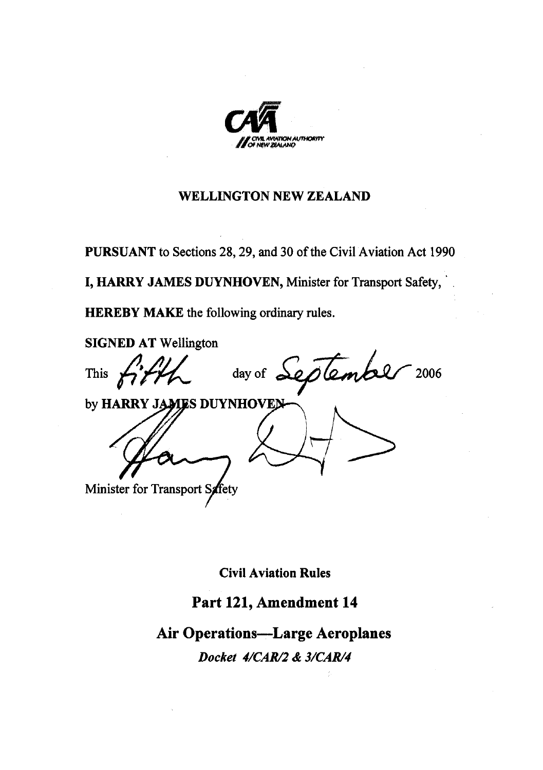

#### **WELLINGTON NEW ZEALAND**

PURSUANT to Sections 28, 29, and 30 of the Civil Aviation Act 1990

I, HARRY JAMES DUYNHOVEN, Minister for Transport Safety,

HEREBY MAKE the following ordinary rules.

**SIGNED AT Wellington** eplemt 2006 This day of by HARRY JAMES DUYNHOVED Minister for Transport Safety

**Civil Aviation Rules** 

#### Part 121, Amendment 14

# **Air Operations-Large Aeroplanes** Docket 4/CAR/2 & 3/CAR/4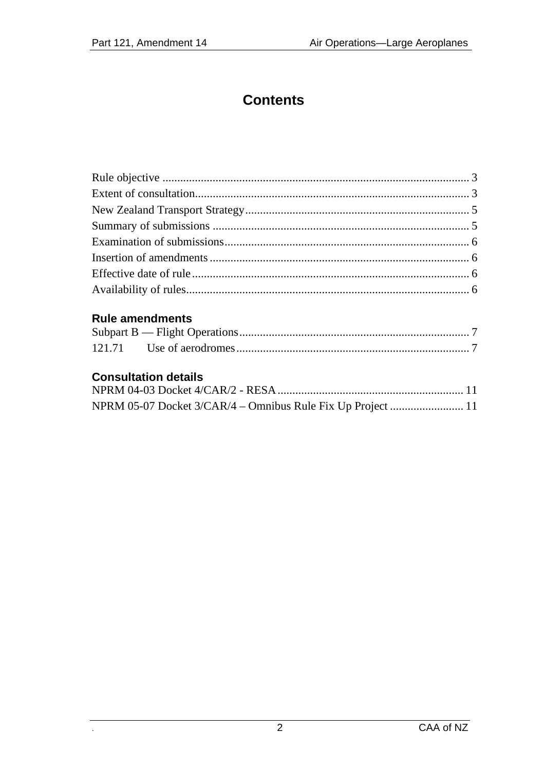# **Contents**

#### **Rule amendments**

#### **Consultation details**

i.

| NPRM 05-07 Docket 3/CAR/4 – Omnibus Rule Fix Up Project  11 |  |
|-------------------------------------------------------------|--|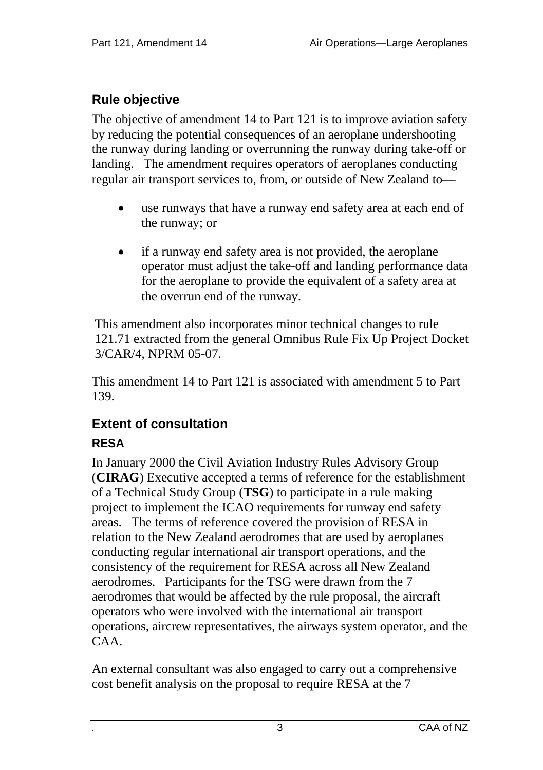# <span id="page-2-0"></span>**Rule objective**

The objective of amendment 14 to Part 121 is to improve aviation safety by reducing the potential consequences of an aeroplane undershooting the runway during landing or overrunning the runway during take-off or landing. The amendment requires operators of aeroplanes conducting regular air transport services to, from, or outside of New Zealand to—

- use runways that have a runway end safety area at each end of the runway; or
- if a runway end safety area is not provided, the aeroplane operator must adjust the take-off and landing performance data for the aeroplane to provide the equivalent of a safety area at the overrun end of the runway.

This amendment also incorporates minor technical changes to rule 121.71 extracted from the general Omnibus Rule Fix Up Project Docket 3/CAR/4, NPRM 05-07.

This amendment 14 to Part 121 is associated with amendment 5 to Part 139.

#### **Extent of consultation RESA**

In January 2000 the Civil Aviation Industry Rules Advisory Group (**CIRAG**) Executive accepted a terms of reference for the establishment of a Technical Study Group (**TSG**) to participate in a rule making project to implement the ICAO requirements for runway end safety areas. The terms of reference covered the provision of RESA in relation to the New Zealand aerodromes that are used by aeroplanes conducting regular international air transport operations, and the consistency of the requirement for RESA across all New Zealand aerodromes. Participants for the TSG were drawn from the 7 aerodromes that would be affected by the rule proposal, the aircraft operators who were involved with the international air transport operations, aircrew representatives, the airways system operator, and the CAA.

An external consultant was also engaged to carry out a comprehensive cost benefit analysis on the proposal to require RESA at the 7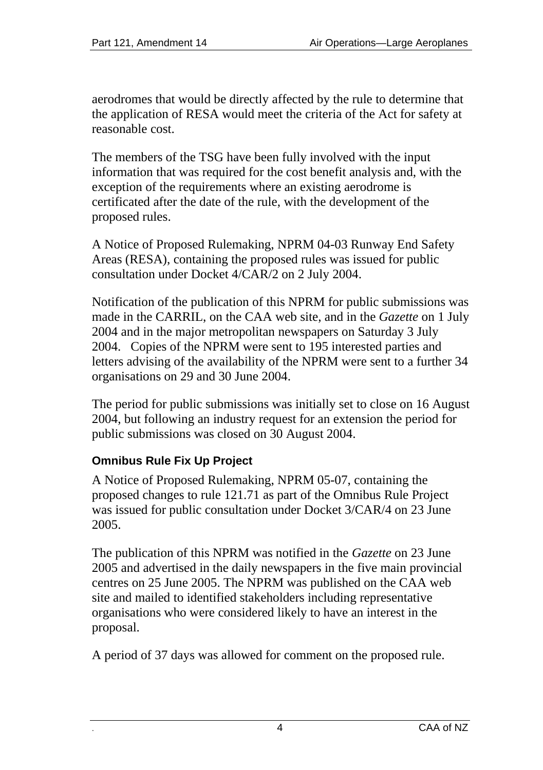aerodromes that would be directly affected by the rule to determine that the application of RESA would meet the criteria of the Act for safety at reasonable cost.

The members of the TSG have been fully involved with the input information that was required for the cost benefit analysis and, with the exception of the requirements where an existing aerodrome is certificated after the date of the rule, with the development of the proposed rules.

A Notice of Proposed Rulemaking, NPRM 04-03 Runway End Safety Areas (RESA), containing the proposed rules was issued for public consultation under Docket 4/CAR/2 on 2 July 2004.

Notification of the publication of this NPRM for public submissions was made in the CARRIL, on the CAA web site, and in the *Gazette* on 1 July 2004 and in the major metropolitan newspapers on Saturday 3 July 2004. Copies of the NPRM were sent to 195 interested parties and letters advising of the availability of the NPRM were sent to a further 34 organisations on 29 and 30 June 2004.

The period for public submissions was initially set to close on 16 August 2004, but following an industry request for an extension the period for public submissions was closed on 30 August 2004.

#### **Omnibus Rule Fix Up Project**

A Notice of Proposed Rulemaking, NPRM 05-07, containing the proposed changes to rule 121.71 as part of the Omnibus Rule Project was issued for public consultation under Docket 3/CAR/4 on 23 June 2005.

The publication of this NPRM was notified in the *Gazette* on 23 June 2005 and advertised in the daily newspapers in the five main provincial centres on 25 June 2005. The NPRM was published on the CAA web site and mailed to identified stakeholders including representative organisations who were considered likely to have an interest in the proposal.

A period of 37 days was allowed for comment on the proposed rule.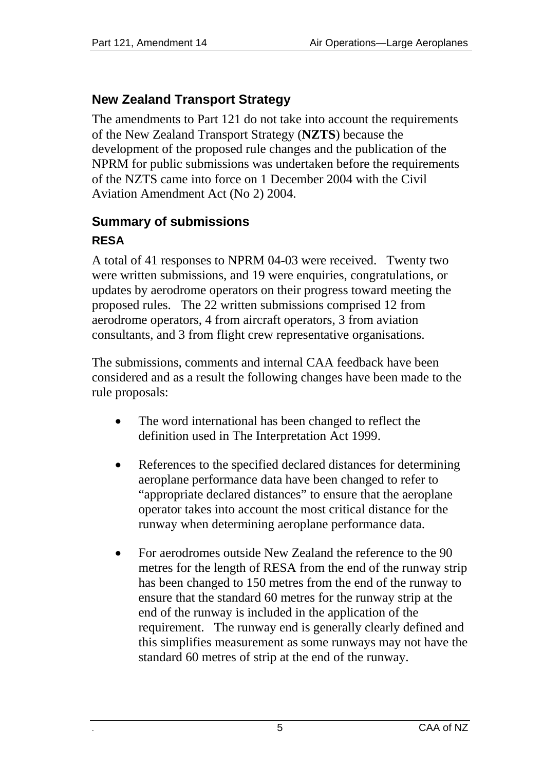### <span id="page-4-0"></span>**New Zealand Transport Strategy**

The amendments to Part 121 do not take into account the requirements of the New Zealand Transport Strategy (**NZTS**) because the development of the proposed rule changes and the publication of the NPRM for public submissions was undertaken before the requirements of the NZTS came into force on 1 December 2004 with the Civil Aviation Amendment Act (No 2) 2004.

# **Summary of submissions RESA**

A total of 41 responses to NPRM 04-03 were received. Twenty two were written submissions, and 19 were enquiries, congratulations, or updates by aerodrome operators on their progress toward meeting the proposed rules. The 22 written submissions comprised 12 from aerodrome operators, 4 from aircraft operators, 3 from aviation consultants, and 3 from flight crew representative organisations.

The submissions, comments and internal CAA feedback have been considered and as a result the following changes have been made to the rule proposals:

- The word international has been changed to reflect the definition used in The Interpretation Act 1999.
- References to the specified declared distances for determining aeroplane performance data have been changed to refer to "appropriate declared distances" to ensure that the aeroplane operator takes into account the most critical distance for the runway when determining aeroplane performance data.
- For aerodromes outside New Zealand the reference to the 90 metres for the length of RESA from the end of the runway strip has been changed to 150 metres from the end of the runway to ensure that the standard 60 metres for the runway strip at the end of the runway is included in the application of the requirement. The runway end is generally clearly defined and this simplifies measurement as some runways may not have the standard 60 metres of strip at the end of the runway.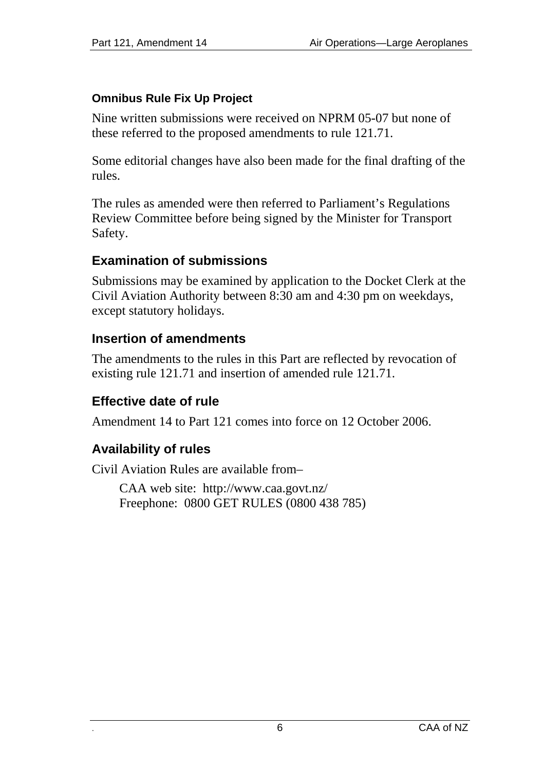#### <span id="page-5-0"></span>**Omnibus Rule Fix Up Project**

Nine written submissions were received on NPRM 05-07 but none of these referred to the proposed amendments to rule 121.71.

Some editorial changes have also been made for the final drafting of the rules.

The rules as amended were then referred to Parliament's Regulations Review Committee before being signed by the Minister for Transport Safety.

#### **Examination of submissions**

Submissions may be examined by application to the Docket Clerk at the Civil Aviation Authority between 8:30 am and 4:30 pm on weekdays, except statutory holidays.

#### **Insertion of amendments**

The amendments to the rules in this Part are reflected by revocation of existing rule 121.71 and insertion of amended rule 121.71.

#### **Effective date of rule**

Amendment 14 to Part 121 comes into force on 12 October 2006.

## **Availability of rules**

Civil Aviation Rules are available from–

CAA web site: <http://www.caa.govt.nz/> Freephone: 0800 GET RULES (0800 438 785)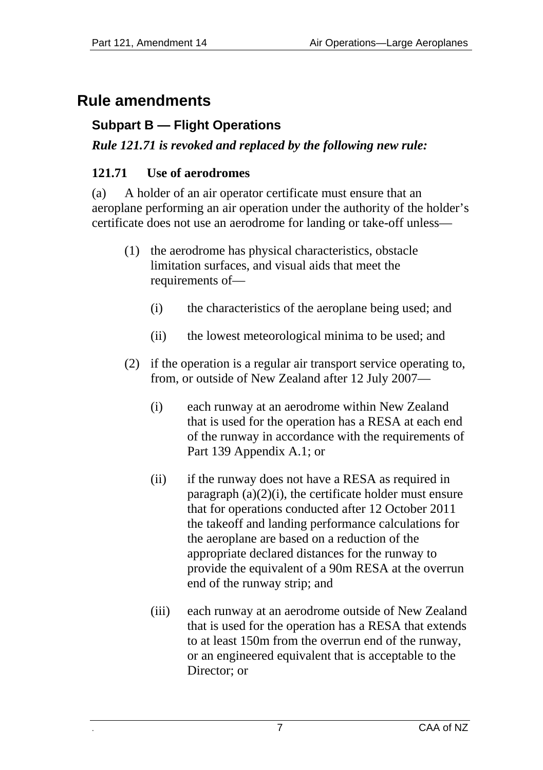# <span id="page-6-0"></span>**Rule amendments**

### **Subpart B — Flight Operations**

#### *Rule 121.71 is revoked and replaced by the following new rule:*

#### **121.71 Use of aerodromes**

(a) A holder of an air operator certificate must ensure that an aeroplane performing an air operation under the authority of the holder's certificate does not use an aerodrome for landing or take-off unless—

- (1) the aerodrome has physical characteristics, obstacle limitation surfaces, and visual aids that meet the requirements of—
	- (i) the characteristics of the aeroplane being used; and
	- (ii) the lowest meteorological minima to be used; and
- (2) if the operation is a regular air transport service operating to, from, or outside of New Zealand after 12 July 2007—
	- (i) each runway at an aerodrome within New Zealand that is used for the operation has a RESA at each end of the runway in accordance with the requirements of Part 139 Appendix A.1; or
	- (ii) if the runway does not have a RESA as required in paragraph  $(a)(2)(i)$ , the certificate holder must ensure that for operations conducted after 12 October 2011 the takeoff and landing performance calculations for the aeroplane are based on a reduction of the appropriate declared distances for the runway to provide the equivalent of a 90m RESA at the overrun end of the runway strip; and
	- (iii) each runway at an aerodrome outside of New Zealand that is used for the operation has a RESA that extends to at least 150m from the overrun end of the runway, or an engineered equivalent that is acceptable to the Director; or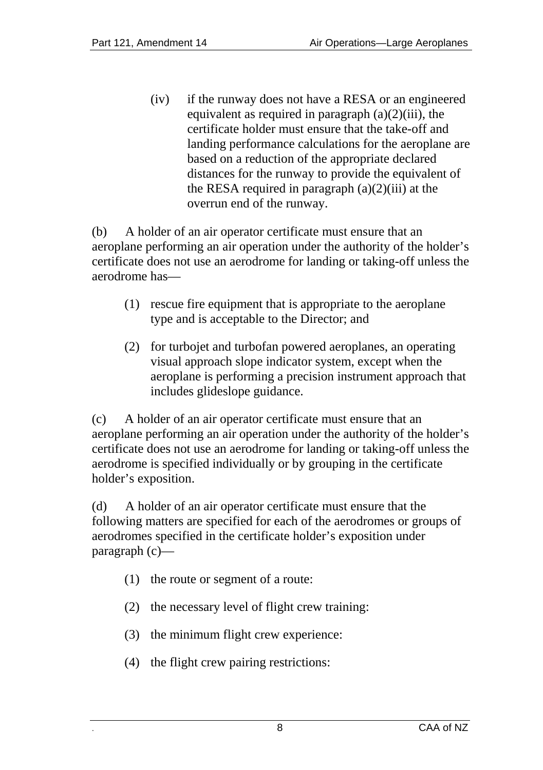(iv) if the runway does not have a RESA or an engineered equivalent as required in paragraph  $(a)(2)(iii)$ , the certificate holder must ensure that the take-off and landing performance calculations for the aeroplane are based on a reduction of the appropriate declared distances for the runway to provide the equivalent of the RESA required in paragraph  $(a)(2)(iii)$  at the overrun end of the runway.

(b) A holder of an air operator certificate must ensure that an aeroplane performing an air operation under the authority of the holder's certificate does not use an aerodrome for landing or taking-off unless the aerodrome has—

- (1) rescue fire equipment that is appropriate to the aeroplane type and is acceptable to the Director; and
- (2) for turbojet and turbofan powered aeroplanes, an operating visual approach slope indicator system, except when the aeroplane is performing a precision instrument approach that includes glideslope guidance.

(c) A holder of an air operator certificate must ensure that an aeroplane performing an air operation under the authority of the holder's certificate does not use an aerodrome for landing or taking-off unless the aerodrome is specified individually or by grouping in the certificate holder's exposition.

(d) A holder of an air operator certificate must ensure that the following matters are specified for each of the aerodromes or groups of aerodromes specified in the certificate holder's exposition under paragraph (c)—

- (1) the route or segment of a route:
- (2) the necessary level of flight crew training:
- (3) the minimum flight crew experience:
- (4) the flight crew pairing restrictions: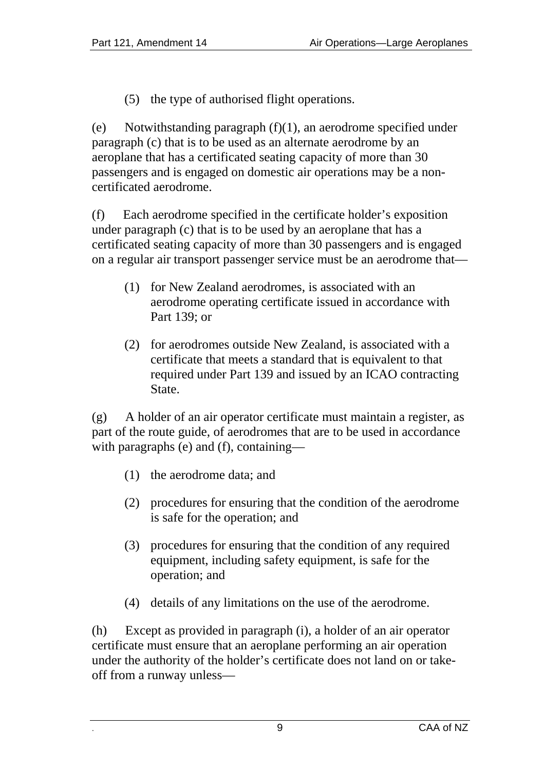(5) the type of authorised flight operations.

(e) Notwithstanding paragraph (f)(1), an aerodrome specified under paragraph (c) that is to be used as an alternate aerodrome by an aeroplane that has a certificated seating capacity of more than 30 passengers and is engaged on domestic air operations may be a noncertificated aerodrome.

(f) Each aerodrome specified in the certificate holder's exposition under paragraph (c) that is to be used by an aeroplane that has a certificated seating capacity of more than 30 passengers and is engaged on a regular air transport passenger service must be an aerodrome that—

- (1) for New Zealand aerodromes, is associated with an aerodrome operating certificate issued in accordance with Part 139; or
- (2) for aerodromes outside New Zealand, is associated with a certificate that meets a standard that is equivalent to that required under Part 139 and issued by an ICAO contracting State.

(g) A holder of an air operator certificate must maintain a register, as part of the route guide, of aerodromes that are to be used in accordance with paragraphs (e) and (f), containing—

- (1) the aerodrome data; and
- (2) procedures for ensuring that the condition of the aerodrome is safe for the operation; and
- (3) procedures for ensuring that the condition of any required equipment, including safety equipment, is safe for the operation; and
- (4) details of any limitations on the use of the aerodrome.

(h) Except as provided in paragraph (i), a holder of an air operator certificate must ensure that an aeroplane performing an air operation under the authority of the holder's certificate does not land on or takeoff from a runway unless—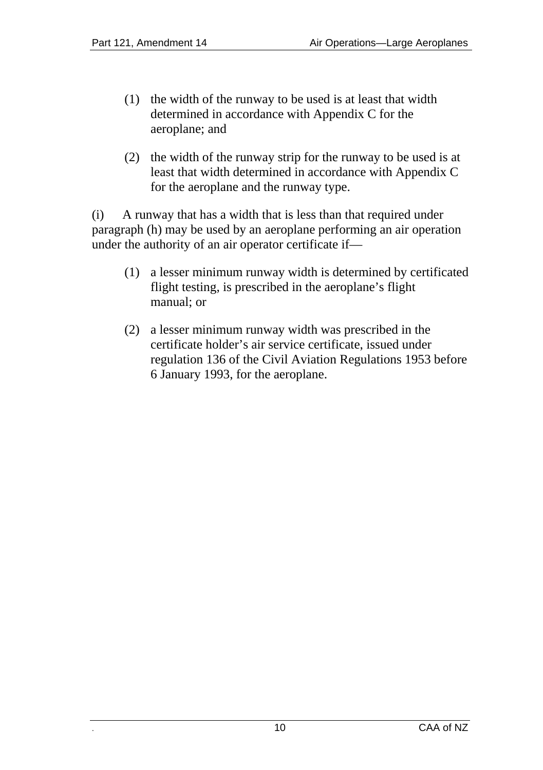- (1) the width of the runway to be used is at least that width determined in accordance with Appendix C for the aeroplane; and
- (2) the width of the runway strip for the runway to be used is at least that width determined in accordance with Appendix C for the aeroplane and the runway type.

(i) A runway that has a width that is less than that required under paragraph (h) may be used by an aeroplane performing an air operation under the authority of an air operator certificate if—

- (1) a lesser minimum runway width is determined by certificated flight testing, is prescribed in the aeroplane's flight manual; or
- (2) a lesser minimum runway width was prescribed in the certificate holder's air service certificate, issued under regulation 136 of the Civil Aviation Regulations 1953 before 6 January 1993, for the aeroplane.